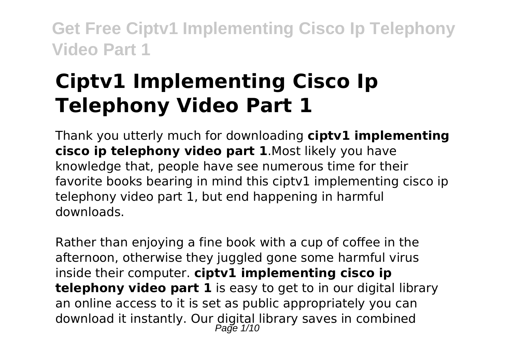# **Ciptv1 Implementing Cisco Ip Telephony Video Part 1**

Thank you utterly much for downloading **ciptv1 implementing cisco ip telephony video part 1**.Most likely you have knowledge that, people have see numerous time for their favorite books bearing in mind this cipty1 implementing cisco ip telephony video part 1, but end happening in harmful downloads.

Rather than enjoying a fine book with a cup of coffee in the afternoon, otherwise they juggled gone some harmful virus inside their computer. **ciptv1 implementing cisco ip telephony video part 1** is easy to get to in our digital library an online access to it is set as public appropriately you can download it instantly. Our digital library saves in combined<br>Page 1/10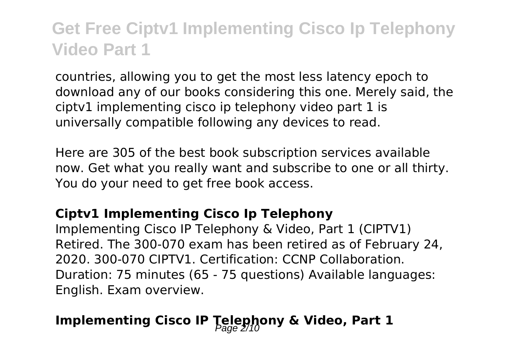countries, allowing you to get the most less latency epoch to download any of our books considering this one. Merely said, the ciptv1 implementing cisco ip telephony video part 1 is universally compatible following any devices to read.

Here are 305 of the best book subscription services available now. Get what you really want and subscribe to one or all thirty. You do your need to get free book access.

#### **Ciptv1 Implementing Cisco Ip Telephony**

Implementing Cisco IP Telephony & Video, Part 1 (CIPTV1) Retired. The 300-070 exam has been retired as of February 24, 2020. 300-070 CIPTV1. Certification: CCNP Collaboration. Duration: 75 minutes (65 - 75 questions) Available languages: English. Exam overview.

### **Implementing Cisco IP Telephony & Video, Part 1**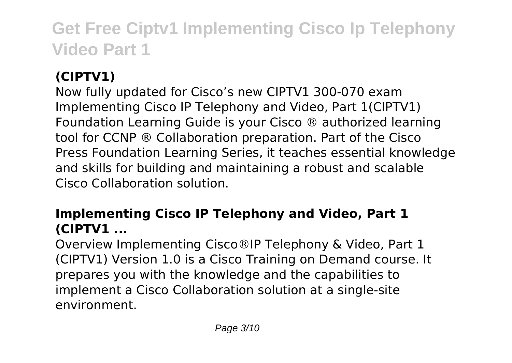### **(CIPTV1)**

Now fully updated for Cisco's new CIPTV1 300-070 exam Implementing Cisco IP Telephony and Video, Part 1(CIPTV1) Foundation Learning Guide is your Cisco ® authorized learning tool for CCNP ® Collaboration preparation. Part of the Cisco Press Foundation Learning Series, it teaches essential knowledge and skills for building and maintaining a robust and scalable Cisco Collaboration solution.

### **Implementing Cisco IP Telephony and Video, Part 1 (CIPTV1 ...**

Overview Implementing Cisco®IP Telephony & Video, Part 1 (CIPTV1) Version 1.0 is a Cisco Training on Demand course. It prepares you with the knowledge and the capabilities to implement a Cisco Collaboration solution at a single-site environment.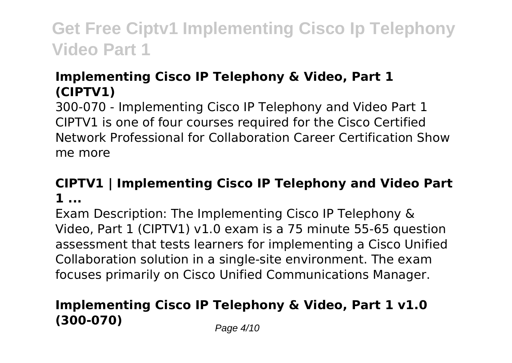### **Implementing Cisco IP Telephony & Video, Part 1 (CIPTV1)**

300-070 - Implementing Cisco IP Telephony and Video Part 1 CIPTV1 is one of four courses required for the Cisco Certified Network Professional for Collaboration Career Certification Show me more

### **CIPTV1 | Implementing Cisco IP Telephony and Video Part 1 ...**

Exam Description: The Implementing Cisco IP Telephony & Video, Part 1 (CIPTV1) v1.0 exam is a 75 minute 55-65 question assessment that tests learners for implementing a Cisco Unified Collaboration solution in a single-site environment. The exam focuses primarily on Cisco Unified Communications Manager.

### **Implementing Cisco IP Telephony & Video, Part 1 v1.0 (300-070)** Page 4/10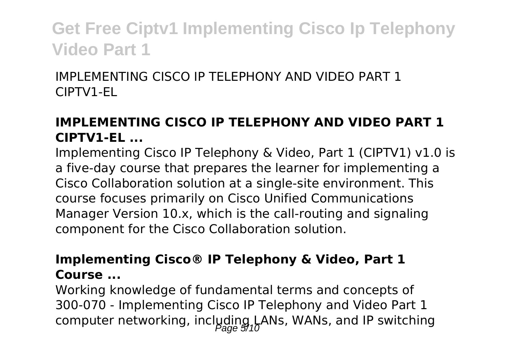IMPLEMENTING CISCO IP TELEPHONY AND VIDEO PART 1 CIPTV1-EL

### **IMPLEMENTING CISCO IP TELEPHONY AND VIDEO PART 1 CIPTV1-EL ...**

Implementing Cisco IP Telephony & Video, Part 1 (CIPTV1) v1.0 is a five-day course that prepares the learner for implementing a Cisco Collaboration solution at a single-site environment. This course focuses primarily on Cisco Unified Communications Manager Version 10.x, which is the call-routing and signaling component for the Cisco Collaboration solution.

#### **Implementing Cisco® IP Telephony & Video, Part 1 Course ...**

Working knowledge of fundamental terms and concepts of 300-070 - Implementing Cisco IP Telephony and Video Part 1 computer networking, including LANs, WANs, and IP switching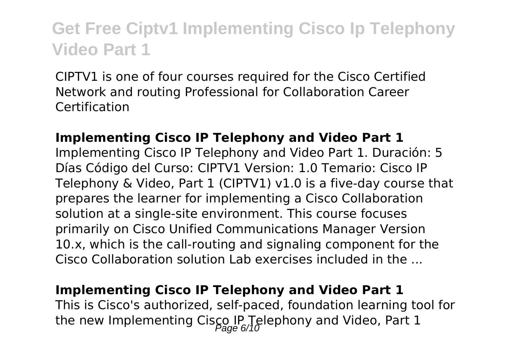CIPTV1 is one of four courses required for the Cisco Certified Network and routing Professional for Collaboration Career Certification

#### **Implementing Cisco IP Telephony and Video Part 1**

Implementing Cisco IP Telephony and Video Part 1. Duración: 5 Días Código del Curso: CIPTV1 Version: 1.0 Temario: Cisco IP Telephony & Video, Part 1 (CIPTV1) v1.0 is a five-day course that prepares the learner for implementing a Cisco Collaboration solution at a single-site environment. This course focuses primarily on Cisco Unified Communications Manager Version 10.x, which is the call-routing and signaling component for the Cisco Collaboration solution Lab exercises included in the ...

#### **Implementing Cisco IP Telephony and Video Part 1**

This is Cisco's authorized, self-paced, foundation learning tool for the new Implementing Cisco IP Telephony and Video, Part 1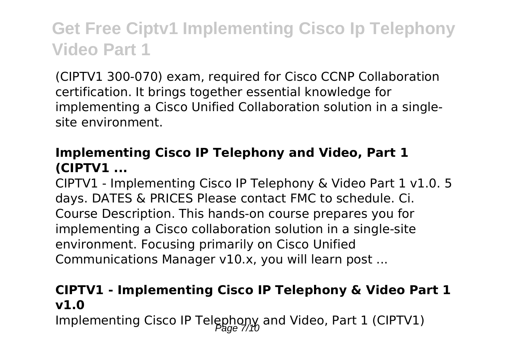(CIPTV1 300-070) exam, required for Cisco CCNP Collaboration certification. It brings together essential knowledge for implementing a Cisco Unified Collaboration solution in a singlesite environment.

### **Implementing Cisco IP Telephony and Video, Part 1 (CIPTV1 ...**

CIPTV1 - Implementing Cisco IP Telephony & Video Part 1 v1.0. 5 days. DATES & PRICES Please contact FMC to schedule. Ci. Course Description. This hands-on course prepares you for implementing a Cisco collaboration solution in a single-site environment. Focusing primarily on Cisco Unified Communications Manager v10.x, you will learn post ...

### **CIPTV1 - Implementing Cisco IP Telephony & Video Part 1 v1.0**

Implementing Cisco IP Telephony and Video, Part 1 (CIPTV1)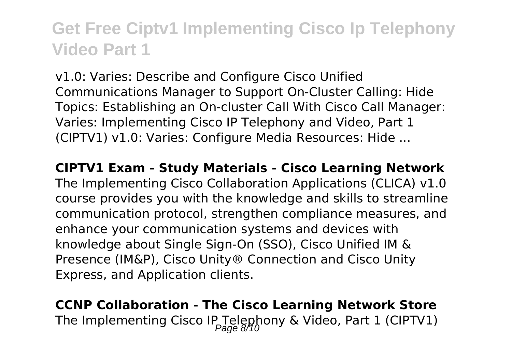v1.0: Varies: Describe and Configure Cisco Unified Communications Manager to Support On-Cluster Calling: Hide Topics: Establishing an On-cluster Call With Cisco Call Manager: Varies: Implementing Cisco IP Telephony and Video, Part 1 (CIPTV1) v1.0: Varies: Configure Media Resources: Hide ...

**CIPTV1 Exam - Study Materials - Cisco Learning Network** The Implementing Cisco Collaboration Applications (CLICA) v1.0 course provides you with the knowledge and skills to streamline communication protocol, strengthen compliance measures, and enhance your communication systems and devices with knowledge about Single Sign-On (SSO), Cisco Unified IM & Presence (IM&P), Cisco Unity® Connection and Cisco Unity Express, and Application clients.

**CCNP Collaboration - The Cisco Learning Network Store** The Implementing Cisco IP Telephony & Video, Part 1 (CIPTV1)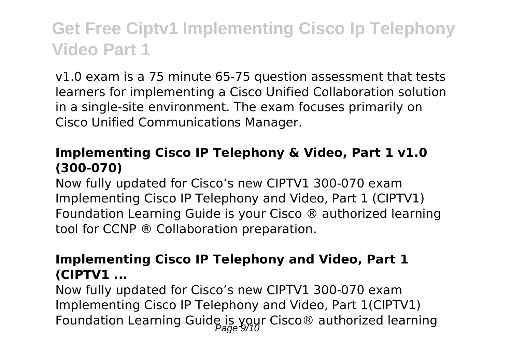v1.0 exam is a 75 minute 65-75 question assessment that tests learners for implementing a Cisco Unified Collaboration solution in a single-site environment. The exam focuses primarily on Cisco Unified Communications Manager.

#### **Implementing Cisco IP Telephony & Video, Part 1 v1.0 (300-070)**

Now fully updated for Cisco's new CIPTV1 300-070 exam Implementing Cisco IP Telephony and Video, Part 1 (CIPTV1) Foundation Learning Guide is your Cisco ® authorized learning tool for CCNP ® Collaboration preparation.

#### **Implementing Cisco IP Telephony and Video, Part 1 (CIPTV1 ...**

Now fully updated for Cisco's new CIPTV1 300-070 exam Implementing Cisco IP Telephony and Video, Part 1(CIPTV1) Foundation Learning Guide is your Cisco® authorized learning